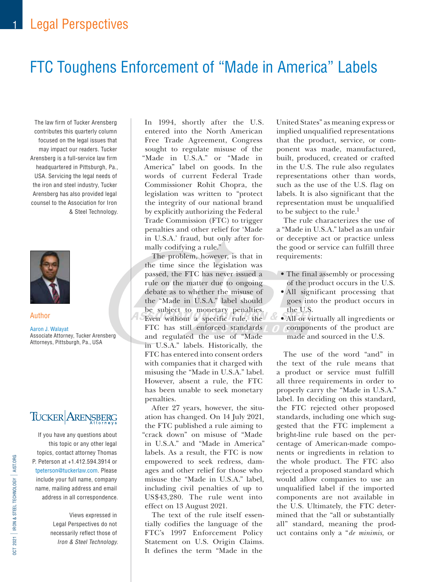# FTC Toughens Enforcement of "Made in America" Labels

The law firm of Tucker Arensberg contributes this quarterly column focused on the legal issues that may impact our readers. Tucker Arensberg is a full-service law firm headquartered in Pittsburgh, Pa., USA. Servicing the legal needs of the iron and steel industry, Tucker Arensberg has also provided legal counsel to the Association for Iron & Steel Technology.



#### Author

Aaron J. Walayat Associate Attorney, Tucker Arensberg Attorneys, Pittsburgh, Pa., USA

# TUCKER ARENSBERG

If you have any questions about this topic or any other legal topics, contact attorney Thomas P. Peterson at +1.412.594.3914 or tpeterson@tuckerlaw.com. Please include your full name, company name, mailing address and email address in all correspondence.

Views expressed in Legal Perspectives do not necessarily reflect those of Iron & Steel Technology.

In 1994, shortly after the U.S. entered into the North American Free Trade Agreement, Congress sought to regulate misuse of the "Made in U.S.A." or "Made in America" label on goods. In the words of current Federal Trade Commissioner Rohit Chopra, the legislation was written to "protect the integrity of our national brand by explicitly authorizing the Federal Trade Commission (FTC) to trigger penalties and other relief for 'Made in U.S.A.' fraud, but only after formally codifying a rule."

The problem, however, is that in the time since the legislation was passed, the FTC has never issued a rule on the matter due to ongoing debate as to whether the misuse of the "Made in U.S.A." label should be subject to monetary penalties. Even without a specific rule, the FTC has still enforced standards and regulated the use of "Made in U.S.A." labels. Historically, the FTC has entered into consent orders with companies that it charged with misusing the "Made in U.S.A." label. However, absent a rule, the FTC has been unable to seek monetary penalties.

After 27 years, however, the situation has changed. On 14 July 2021, the FTC published a rule aiming to "crack down" on misuse of "Made in U.S.A." and "Made in America" labels. As a result, the FTC is now empowered to seek redress, damages and other relief for those who misuse the "Made in U.S.A." label, including civil penalties of up to US\$43,280. The rule went into effect on 13 August 2021.

The text of the rule itself essentially codifies the language of the FTC's 1997 Enforcement Policy Statement on U.S. Origin Claims. It defines the term "Made in the

United States" as meaning express or implied unqualified representations that the product, service, or component was made, manufactured, built, produced, created or crafted in the U.S. The rule also regulates representations other than words, such as the use of the U.S. flag on labels. It is also significant that the representation must be unqualified to be subject to the rule.<sup>1</sup>

The rule characterizes the use of a "Made in U.S.A." label as an unfair or deceptive act or practice unless the good or service can fulfill three requirements:

- The final assembly or processing of the product occurs in the U.S.
- All significant processing that goes into the product occurs in the U.S.
- All or virtually all ingredients or components of the product are made and sourced in the U.S.

The use of the word "and" in the text of the rule means that a product or service must fulfill all three requirements in order to properly carry the "Made in U.S.A." label. In deciding on this standard, the FTC rejected other proposed standards, including one which suggested that the FTC implement a bright-line rule based on the percentage of American-made components or ingredients in relation to the whole product. The FTC also rejected a proposed standard which would allow companies to use an unqualified label if the imported components are not available in the U.S. Ultimately, the FTC determined that the "all or substantially all" standard, meaning the product contains only a "*de minimis,* or